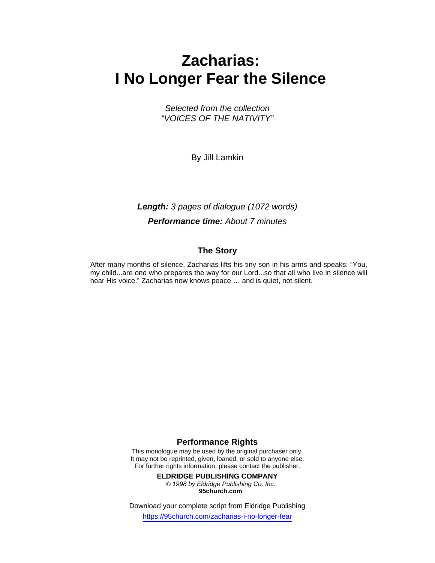# **Zacharias: I No Longer Fear the Silence**

*Selected from the collection "VOICES OF THE NATIVITY"* 

By Jill Lamkin

### *Length: 3 pages of dialogue (1072 words) Performance time: About 7 minutes*

#### **The Story**

After many months of silence, Zacharias lifts his tiny son in his arms and speaks: "You, my child...are one who prepares the way for our Lord...so that all who live in silence will hear His voice." Zacharias now knows peace … and is quiet, not silent.

#### **Performance Rights**

This monologue may be used by the original purchaser only. It may not be reprinted, given, loaned, or sold to anyone else. For further rights information, please contact the publisher.

**ELDRIDGE PUBLISHING COMPANY** 

*© 1998 by Eldridge Publishing Co. Inc.*  **95church.com**

Download your complete script from Eldridge Publishing

https://95church.com/zacharias-i-no-longer-fear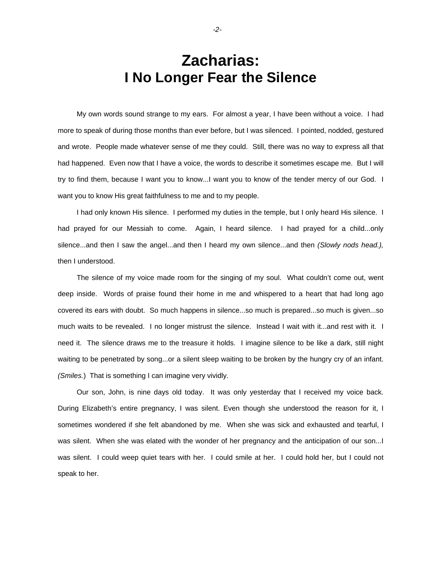## **Zacharias: I No Longer Fear the Silence**

 My own words sound strange to my ears. For almost a year, I have been without a voice. I had more to speak of during those months than ever before, but I was silenced. I pointed, nodded, gestured and wrote. People made whatever sense of me they could. Still, there was no way to express all that had happened. Even now that I have a voice, the words to describe it sometimes escape me. But I will try to find them, because I want you to know...I want you to know of the tender mercy of our God. I want you to know His great faithfulness to me and to my people.

 I had only known His silence. I performed my duties in the temple, but I only heard His silence. I had prayed for our Messiah to come. Again, I heard silence. I had prayed for a child...only silence...and then I saw the angel...and then I heard my own silence...and then *(Slowly nods head.),*  then I understood.

 The silence of my voice made room for the singing of my soul. What couldn't come out, went deep inside. Words of praise found their home in me and whispered to a heart that had long ago covered its ears with doubt. So much happens in silence...so much is prepared...so much is given...so much waits to be revealed. I no longer mistrust the silence. Instead I wait with it...and rest with it. I need it. The silence draws me to the treasure it holds. I imagine silence to be like a dark, still night waiting to be penetrated by song...or a silent sleep waiting to be broken by the hungry cry of an infant. *(Smiles.*) That is something I can imagine very vividly.

 Our son, John, is nine days old today. It was only yesterday that I received my voice back. During Elizabeth's entire pregnancy, I was silent. Even though she understood the reason for it, I sometimes wondered if she felt abandoned by me. When she was sick and exhausted and tearful, I was silent. When she was elated with the wonder of her pregnancy and the anticipation of our son...I was silent. I could weep quiet tears with her. I could smile at her. I could hold her, but I could not speak to her.

*-2-*